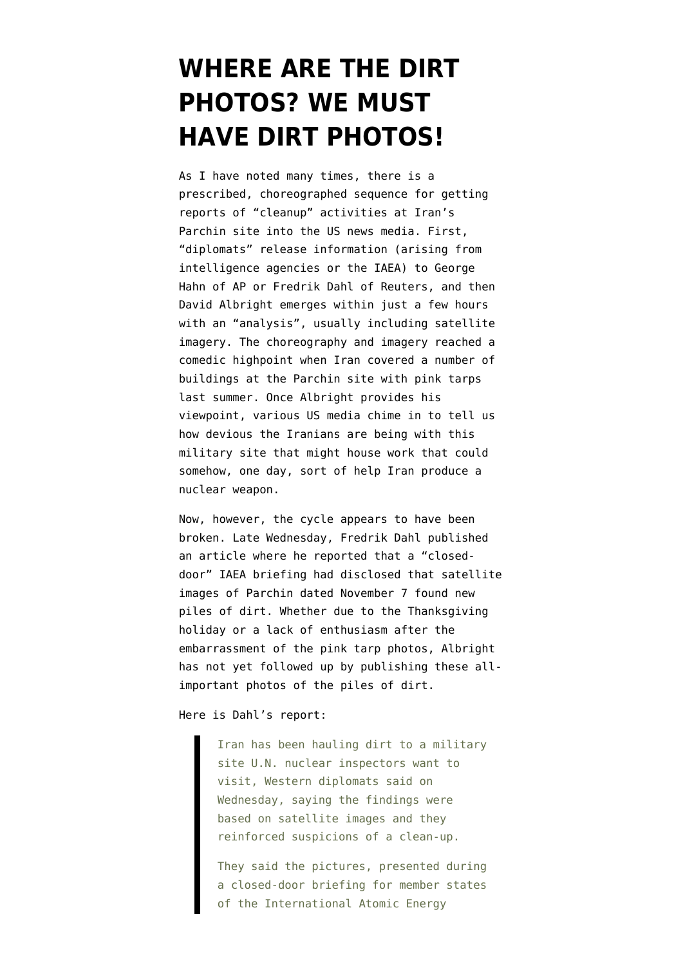## **[WHERE ARE THE DIRT](https://www.emptywheel.net/2012/11/27/where-are-the-dirt-photos-we-must-have-dirt-photos/) [PHOTOS? WE MUST](https://www.emptywheel.net/2012/11/27/where-are-the-dirt-photos-we-must-have-dirt-photos/) [HAVE DIRT PHOTOS!](https://www.emptywheel.net/2012/11/27/where-are-the-dirt-photos-we-must-have-dirt-photos/)**

As I have noted many times, there is a prescribed, choreographed sequence for getting reports of "cleanup" activities at Iran's Parchin site into the US news media. First, "diplomats" release information (arising from intelligence agencies or the IAEA) to George Hahn of AP or Fredrik Dahl of Reuters, and then David Albright emerges within just a few hours with an "analysis", usually including satellite imagery. The choreography and imagery reached a comedic highpoint when [Iran covered a number of](http://www.emptywheel.net/2012/08/27/persians-punk-photo-pretenders-parchin-pretty-in-pink/) [buildings at the Parchin site with pink tarps](http://www.emptywheel.net/2012/08/27/persians-punk-photo-pretenders-parchin-pretty-in-pink/) last summer. Once Albright provides his viewpoint, various US media chime in to tell us how devious the Iranians are being with this military site that might house work that could somehow, one day, sort of help Iran produce a nuclear weapon.

Now, however, the cycle appears to have been broken. Late Wednesday, Fredrik Dahl published an article where he reported that a "closeddoor" IAEA briefing had disclosed that satellite images of Parchin dated November 7 found new piles of dirt. Whether due to the Thanksgiving holiday or a lack of enthusiasm after the embarrassment of the pink tarp photos, Albright has not yet followed up by publishing these allimportant photos of the piles of dirt.

## Here is [Dahl's report](http://www.reuters.com/article/2012/11/22/us-nuclear-iran-iaea-idUSBRE8AK12X20121122):

Iran has been hauling dirt to a military site U.N. nuclear inspectors want to visit, Western diplomats said on Wednesday, saying the findings were based on satellite images and they reinforced suspicions of a clean-up.

They said the pictures, presented during a closed-door briefing for member states of the International Atomic Energy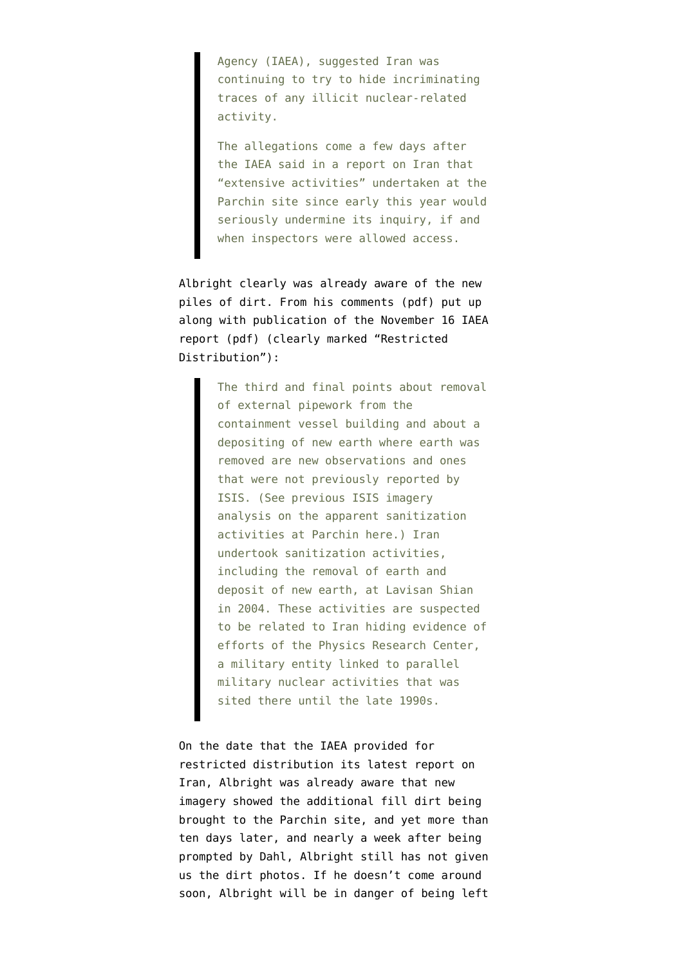Agency (IAEA), suggested Iran was continuing to try to hide incriminating traces of any illicit nuclear-related activity.

The allegations come a few days after the IAEA said in a report on Iran that "extensive activities" undertaken at the Parchin site since early this year would seriously undermine its inquiry, if and when inspectors were allowed access.

Albright clearly was already aware of the new piles of dirt. From his [comments](http://isis-online.org/uploads/isis-reports/documents/ISIS_Analysis_IAEA_safeguards_Report_November_16_2012-final.pdf) (pdf) put up along with publication of the [November 16 IAEA](http://www.isis-online.org/uploads/isis-reports/documents/Iran_safeguards_report_November_2012.pdf) [report](http://www.isis-online.org/uploads/isis-reports/documents/Iran_safeguards_report_November_2012.pdf) (pdf) (clearly marked "Restricted Distribution"):

> The third and final points about removal of external pipework from the containment vessel building and about a depositing of new earth where earth was removed are new observations and ones that were not previously reported by ISIS. (See previous ISIS imagery analysis on the apparent sanitization activities at Parchin here.) Iran undertook sanitization activities, including the removal of earth and deposit of new earth, at Lavisan Shian in 2004. These activities are suspected to be related to Iran hiding evidence of efforts of the Physics Research Center, a military entity linked to parallel military nuclear activities that was sited there until the late 1990s.

On the date that the IAEA provided for restricted distribution its latest report on Iran, Albright was already aware that new imagery showed the additional fill dirt being brought to the Parchin site, and yet more than ten days later, and nearly a week after being prompted by Dahl, Albright still has not given us the dirt photos. If he doesn't come around soon, Albright will be in danger of being left